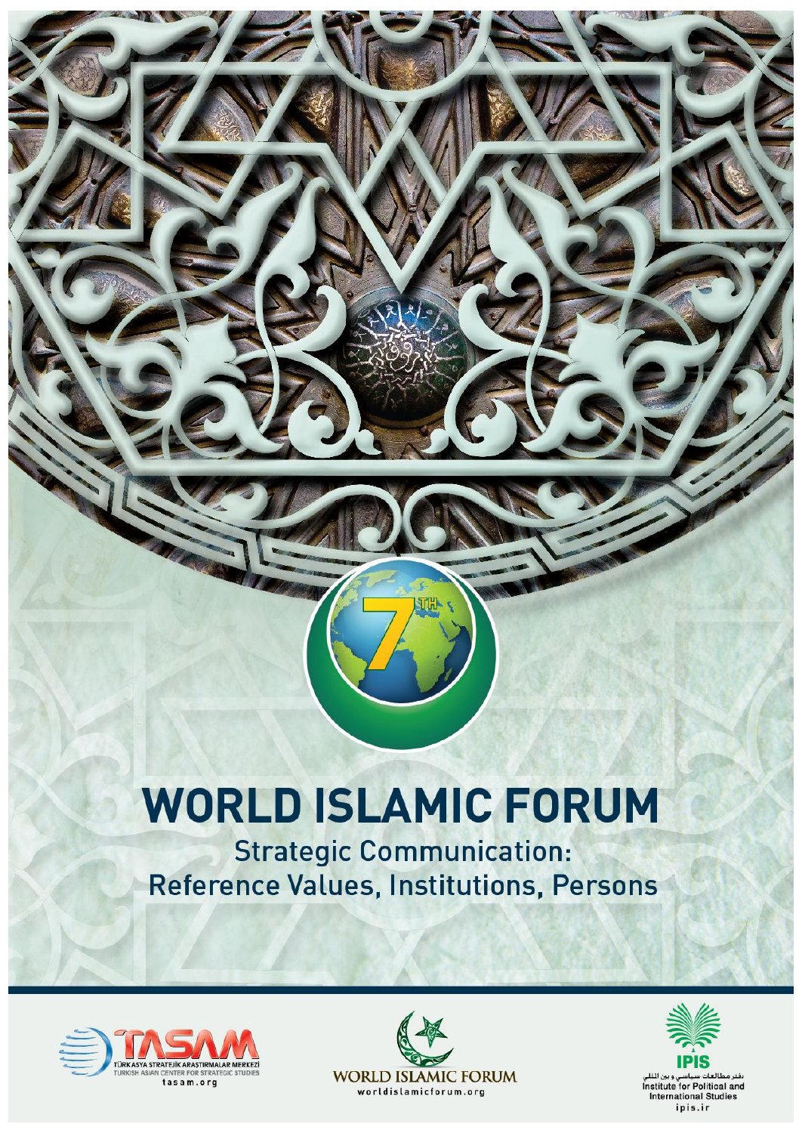# **WORLD ISLAMIC FORUM**

亚的

**Strategic Communication:** Reference Values, Institutions, Persons





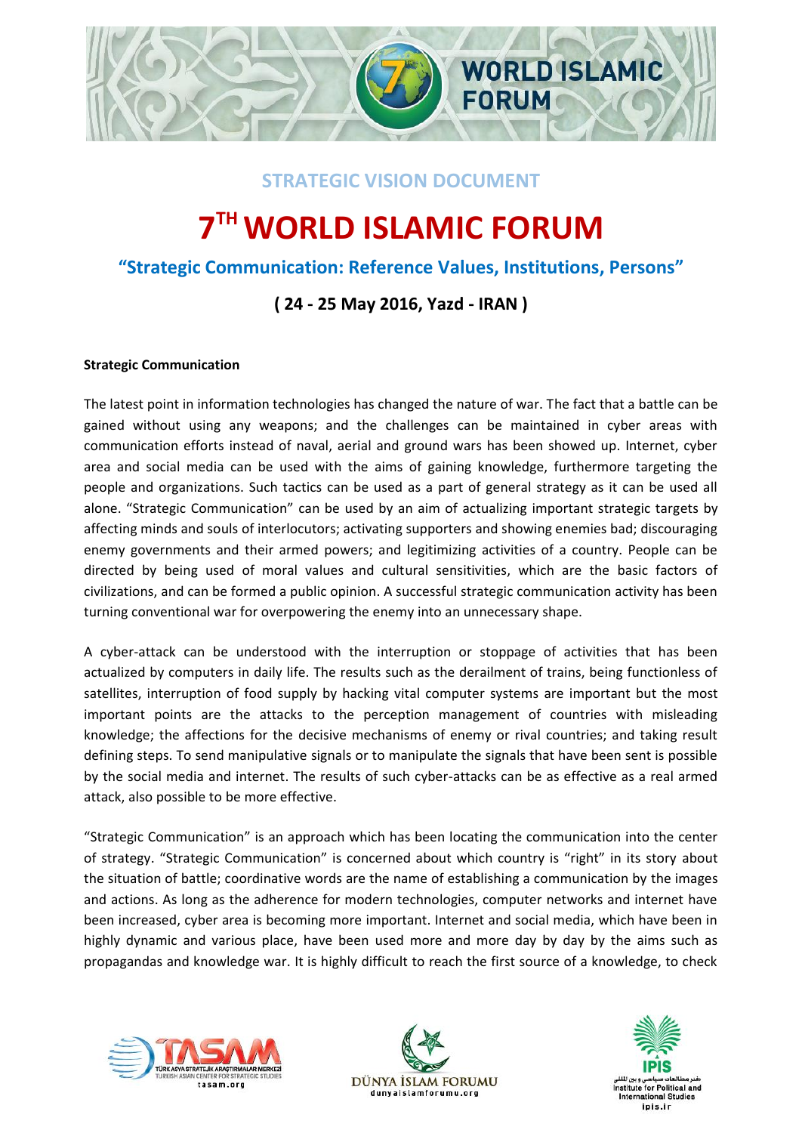

## **STRATEGIC VISION DOCUMENT**

# **7 THWORLD ISLAMIC FORUM**

# **"Strategic Communication: Reference Values, Institutions, Persons"**

# **( 24 - 25 May 2016, Yazd - IRAN )**

#### **Strategic Communication**

The latest point in information technologies has changed the nature of war. The fact that a battle can be gained without using any weapons; and the challenges can be maintained in cyber areas with communication efforts instead of naval, aerial and ground wars has been showed up. Internet, cyber area and social media can be used with the aims of gaining knowledge, furthermore targeting the people and organizations. Such tactics can be used as a part of general strategy as it can be used all alone. "Strategic Communication" can be used by an aim of actualizing important strategic targets by affecting minds and souls of interlocutors; activating supporters and showing enemies bad; discouraging enemy governments and their armed powers; and legitimizing activities of a country. People can be directed by being used of moral values and cultural sensitivities, which are the basic factors of civilizations, and can be formed a public opinion. A successful strategic communication activity has been turning conventional war for overpowering the enemy into an unnecessary shape.

A cyber-attack can be understood with the interruption or stoppage of activities that has been actualized by computers in daily life. The results such as the derailment of trains, being functionless of satellites, interruption of food supply by hacking vital computer systems are important but the most important points are the attacks to the perception management of countries with misleading knowledge; the affections for the decisive mechanisms of enemy or rival countries; and taking result defining steps. To send manipulative signals or to manipulate the signals that have been sent is possible by the social media and internet. The results of such cyber-attacks can be as effective as a real armed attack, also possible to be more effective.

"Strategic Communication" is an approach which has been locating the communication into the center of strategy. "Strategic Communication" is concerned about which country is "right" in its story about the situation of battle; coordinative words are the name of establishing a communication by the images and actions. As long as the adherence for modern technologies, computer networks and internet have been increased, cyber area is becoming more important. Internet and social media, which have been in highly dynamic and various place, have been used more and more day by day by the aims such as propagandas and knowledge war. It is highly difficult to reach the first source of a knowledge, to check





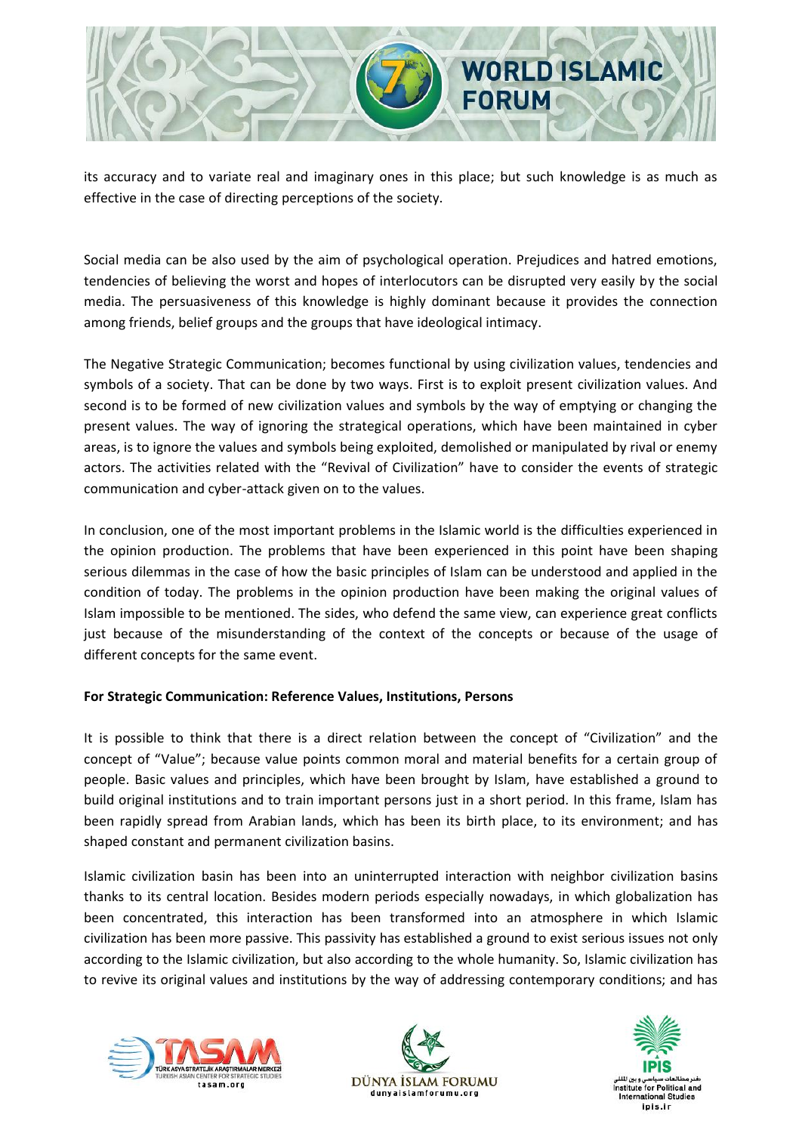

its accuracy and to variate real and imaginary ones in this place; but such knowledge is as much as effective in the case of directing perceptions of the society.

Social media can be also used by the aim of psychological operation. Prejudices and hatred emotions, tendencies of believing the worst and hopes of interlocutors can be disrupted very easily by the social media. The persuasiveness of this knowledge is highly dominant because it provides the connection among friends, belief groups and the groups that have ideological intimacy.

The Negative Strategic Communication; becomes functional by using civilization values, tendencies and symbols of a society. That can be done by two ways. First is to exploit present civilization values. And second is to be formed of new civilization values and symbols by the way of emptying or changing the present values. The way of ignoring the strategical operations, which have been maintained in cyber areas, is to ignore the values and symbols being exploited, demolished or manipulated by rival or enemy actors. The activities related with the "Revival of Civilization" have to consider the events of strategic communication and cyber-attack given on to the values.

In conclusion, one of the most important problems in the Islamic world is the difficulties experienced in the opinion production. The problems that have been experienced in this point have been shaping serious dilemmas in the case of how the basic principles of Islam can be understood and applied in the condition of today. The problems in the opinion production have been making the original values of Islam impossible to be mentioned. The sides, who defend the same view, can experience great conflicts just because of the misunderstanding of the context of the concepts or because of the usage of different concepts for the same event.

#### **For Strategic Communication: Reference Values, Institutions, Persons**

It is possible to think that there is a direct relation between the concept of "Civilization" and the concept of "Value"; because value points common moral and material benefits for a certain group of people. Basic values and principles, which have been brought by Islam, have established a ground to build original institutions and to train important persons just in a short period. In this frame, Islam has been rapidly spread from Arabian lands, which has been its birth place, to its environment; and has shaped constant and permanent civilization basins.

Islamic civilization basin has been into an uninterrupted interaction with neighbor civilization basins thanks to its central location. Besides modern periods especially nowadays, in which globalization has been concentrated, this interaction has been transformed into an atmosphere in which Islamic civilization has been more passive. This passivity has established a ground to exist serious issues not only according to the Islamic civilization, but also according to the whole humanity. So, Islamic civilization has to revive its original values and institutions by the way of addressing contemporary conditions; and has





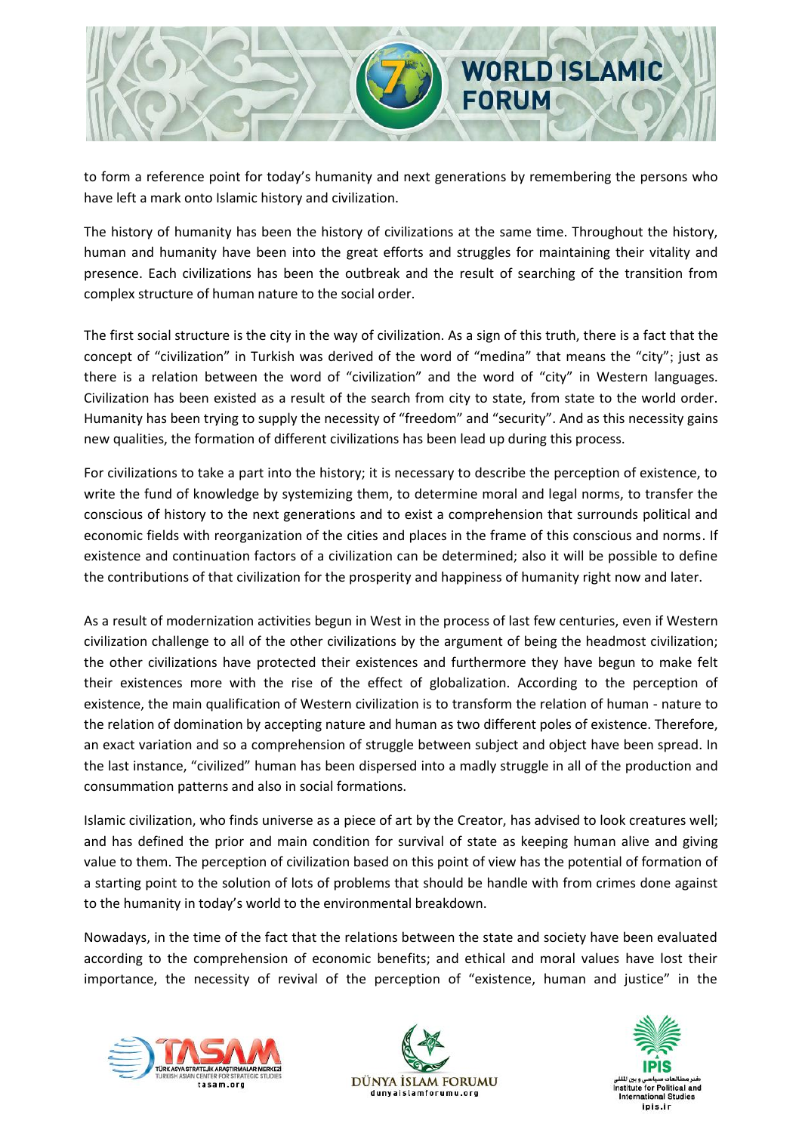

to form a reference point for today's humanity and next generations by remembering the persons who have left a mark onto Islamic history and civilization.

The history of humanity has been the history of civilizations at the same time. Throughout the history, human and humanity have been into the great efforts and struggles for maintaining their vitality and presence. Each civilizations has been the outbreak and the result of searching of the transition from complex structure of human nature to the social order.

The first social structure is the city in the way of civilization. As a sign of this truth, there is a fact that the concept of "civilization" in Turkish was derived of the word of "medina" that means the "city"; just as there is a relation between the word of "civilization" and the word of "city" in Western languages. Civilization has been existed as a result of the search from city to state, from state to the world order. Humanity has been trying to supply the necessity of "freedom" and "security". And as this necessity gains new qualities, the formation of different civilizations has been lead up during this process.

For civilizations to take a part into the history; it is necessary to describe the perception of existence, to write the fund of knowledge by systemizing them, to determine moral and legal norms, to transfer the conscious of history to the next generations and to exist a comprehension that surrounds political and economic fields with reorganization of the cities and places in the frame of this conscious and norms. If existence and continuation factors of a civilization can be determined; also it will be possible to define the contributions of that civilization for the prosperity and happiness of humanity right now and later.

As a result of modernization activities begun in West in the process of last few centuries, even if Western civilization challenge to all of the other civilizations by the argument of being the headmost civilization; the other civilizations have protected their existences and furthermore they have begun to make felt their existences more with the rise of the effect of globalization. According to the perception of existence, the main qualification of Western civilization is to transform the relation of human - nature to the relation of domination by accepting nature and human as two different poles of existence. Therefore, an exact variation and so a comprehension of struggle between subject and object have been spread. In the last instance, "civilized" human has been dispersed into a madly struggle in all of the production and consummation patterns and also in social formations.

Islamic civilization, who finds universe as a piece of art by the Creator, has advised to look creatures well; and has defined the prior and main condition for survival of state as keeping human alive and giving value to them. The perception of civilization based on this point of view has the potential of formation of a starting point to the solution of lots of problems that should be handle with from crimes done against to the humanity in today's world to the environmental breakdown.

Nowadays, in the time of the fact that the relations between the state and society have been evaluated according to the comprehension of economic benefits; and ethical and moral values have lost their importance, the necessity of revival of the perception of "existence, human and justice" in the





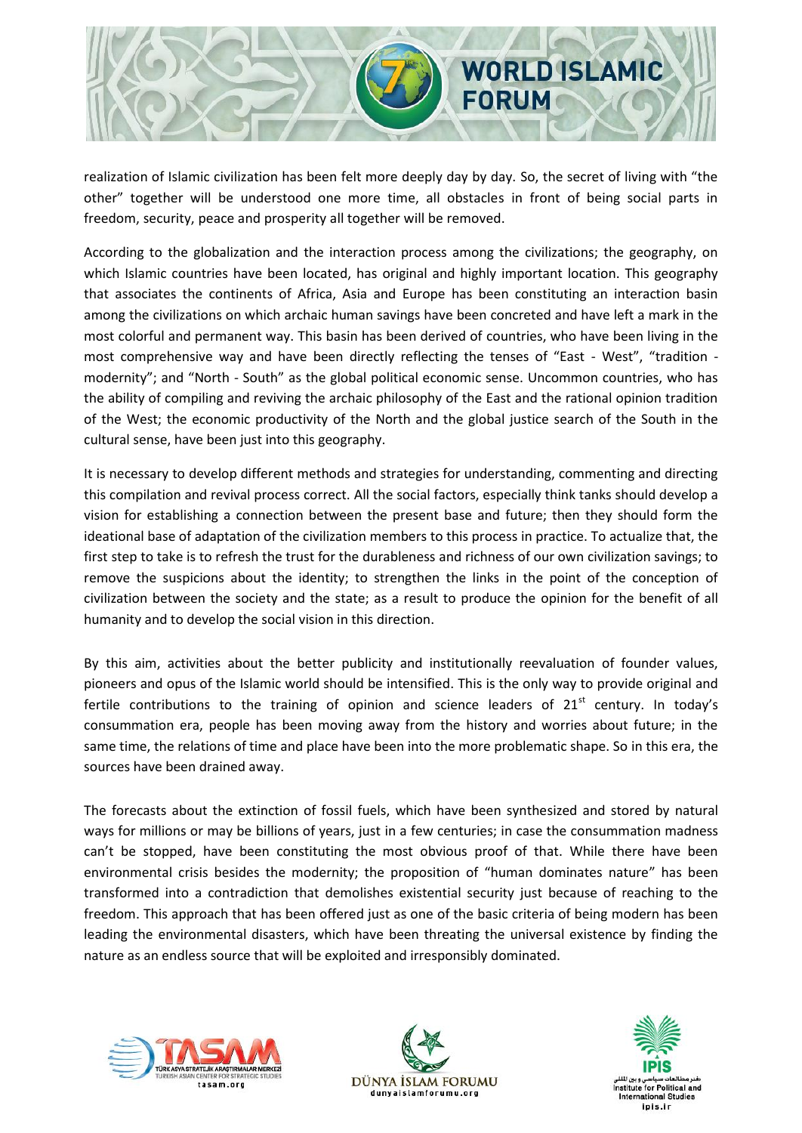

realization of Islamic civilization has been felt more deeply day by day. So, the secret of living with "the other" together will be understood one more time, all obstacles in front of being social parts in freedom, security, peace and prosperity all together will be removed.

According to the globalization and the interaction process among the civilizations; the geography, on which Islamic countries have been located, has original and highly important location. This geography that associates the continents of Africa, Asia and Europe has been constituting an interaction basin among the civilizations on which archaic human savings have been concreted and have left a mark in the most colorful and permanent way. This basin has been derived of countries, who have been living in the most comprehensive way and have been directly reflecting the tenses of "East - West", "tradition modernity"; and "North - South" as the global political economic sense. Uncommon countries, who has the ability of compiling and reviving the archaic philosophy of the East and the rational opinion tradition of the West; the economic productivity of the North and the global justice search of the South in the cultural sense, have been just into this geography.

It is necessary to develop different methods and strategies for understanding, commenting and directing this compilation and revival process correct. All the social factors, especially think tanks should develop a vision for establishing a connection between the present base and future; then they should form the ideational base of adaptation of the civilization members to this process in practice. To actualize that, the first step to take is to refresh the trust for the durableness and richness of our own civilization savings; to remove the suspicions about the identity; to strengthen the links in the point of the conception of civilization between the society and the state; as a result to produce the opinion for the benefit of all humanity and to develop the social vision in this direction.

By this aim, activities about the better publicity and institutionally reevaluation of founder values, pioneers and opus of the Islamic world should be intensified. This is the only way to provide original and fertile contributions to the training of opinion and science leaders of  $21<sup>st</sup>$  century. In today's consummation era, people has been moving away from the history and worries about future; in the same time, the relations of time and place have been into the more problematic shape. So in this era, the sources have been drained away.

The forecasts about the extinction of fossil fuels, which have been synthesized and stored by natural ways for millions or may be billions of years, just in a few centuries; in case the consummation madness can't be stopped, have been constituting the most obvious proof of that. While there have been environmental crisis besides the modernity; the proposition of "human dominates nature" has been transformed into a contradiction that demolishes existential security just because of reaching to the freedom. This approach that has been offered just as one of the basic criteria of being modern has been leading the environmental disasters, which have been threating the universal existence by finding the nature as an endless source that will be exploited and irresponsibly dominated.





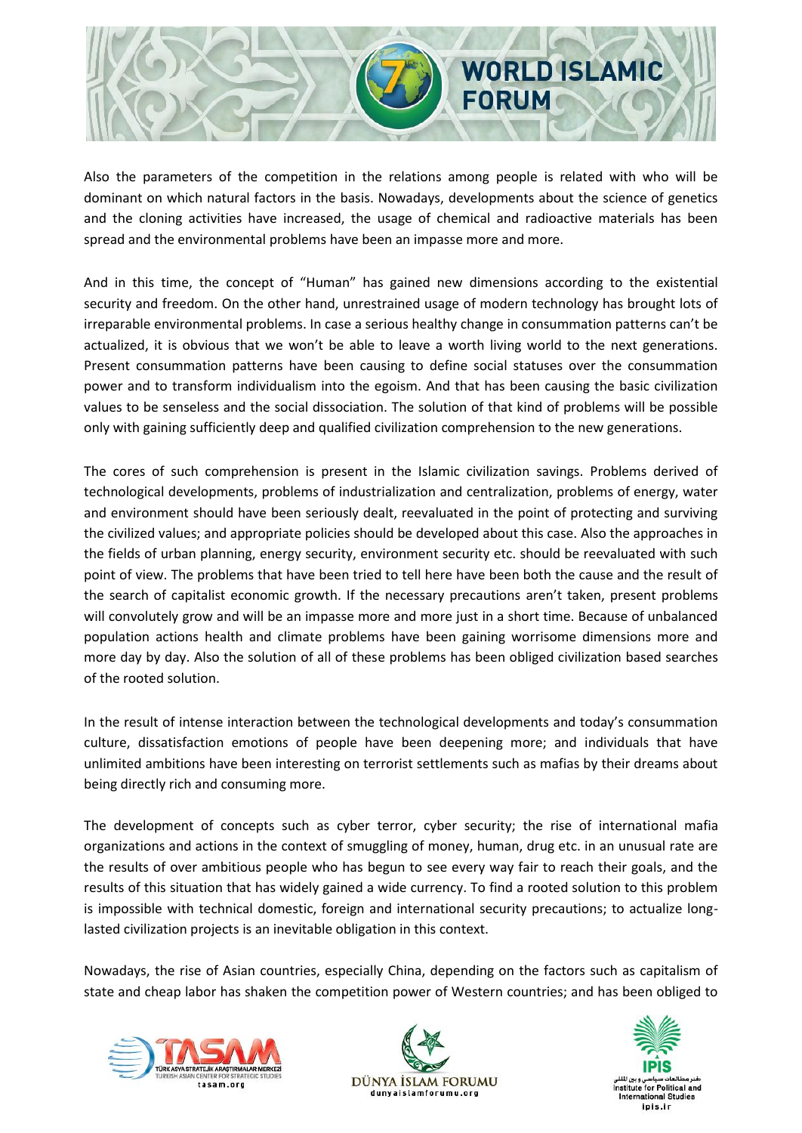

Also the parameters of the competition in the relations among people is related with who will be dominant on which natural factors in the basis. Nowadays, developments about the science of genetics and the cloning activities have increased, the usage of chemical and radioactive materials has been spread and the environmental problems have been an impasse more and more.

And in this time, the concept of "Human" has gained new dimensions according to the existential security and freedom. On the other hand, unrestrained usage of modern technology has brought lots of irreparable environmental problems. In case a serious healthy change in consummation patterns can't be actualized, it is obvious that we won't be able to leave a worth living world to the next generations. Present consummation patterns have been causing to define social statuses over the consummation power and to transform individualism into the egoism. And that has been causing the basic civilization values to be senseless and the social dissociation. The solution of that kind of problems will be possible only with gaining sufficiently deep and qualified civilization comprehension to the new generations.

The cores of such comprehension is present in the Islamic civilization savings. Problems derived of technological developments, problems of industrialization and centralization, problems of energy, water and environment should have been seriously dealt, reevaluated in the point of protecting and surviving the civilized values; and appropriate policies should be developed about this case. Also the approaches in the fields of urban planning, energy security, environment security etc. should be reevaluated with such point of view. The problems that have been tried to tell here have been both the cause and the result of the search of capitalist economic growth. If the necessary precautions aren't taken, present problems will convolutely grow and will be an impasse more and more just in a short time. Because of unbalanced population actions health and climate problems have been gaining worrisome dimensions more and more day by day. Also the solution of all of these problems has been obliged civilization based searches of the rooted solution.

In the result of intense interaction between the technological developments and today's consummation culture, dissatisfaction emotions of people have been deepening more; and individuals that have unlimited ambitions have been interesting on terrorist settlements such as mafias by their dreams about being directly rich and consuming more.

The development of concepts such as cyber terror, cyber security; the rise of international mafia organizations and actions in the context of smuggling of money, human, drug etc. in an unusual rate are the results of over ambitious people who has begun to see every way fair to reach their goals, and the results of this situation that has widely gained a wide currency. To find a rooted solution to this problem is impossible with technical domestic, foreign and international security precautions; to actualize longlasted civilization projects is an inevitable obligation in this context.

Nowadays, the rise of Asian countries, especially China, depending on the factors such as capitalism of state and cheap labor has shaken the competition power of Western countries; and has been obliged to





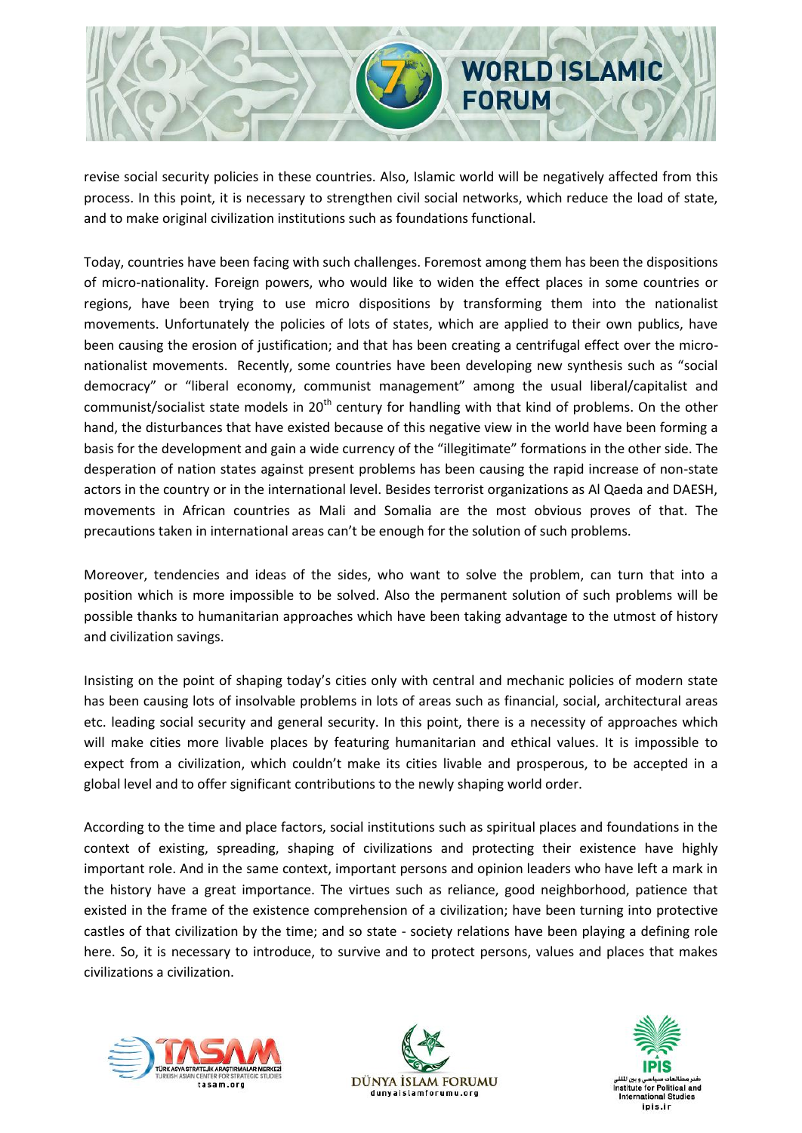

revise social security policies in these countries. Also, Islamic world will be negatively affected from this process. In this point, it is necessary to strengthen civil social networks, which reduce the load of state, and to make original civilization institutions such as foundations functional.

Today, countries have been facing with such challenges. Foremost among them has been the dispositions of micro-nationality. Foreign powers, who would like to widen the effect places in some countries or regions, have been trying to use micro dispositions by transforming them into the nationalist movements. Unfortunately the policies of lots of states, which are applied to their own publics, have been causing the erosion of justification; and that has been creating a centrifugal effect over the micronationalist movements. Recently, some countries have been developing new synthesis such as "social democracy" or "liberal economy, communist management" among the usual liberal/capitalist and communist/socialist state models in 20<sup>th</sup> century for handling with that kind of problems. On the other hand, the disturbances that have existed because of this negative view in the world have been forming a basis for the development and gain a wide currency of the "illegitimate" formations in the other side. The desperation of nation states against present problems has been causing the rapid increase of non-state actors in the country or in the international level. Besides terrorist organizations as Al Qaeda and DAESH, movements in African countries as Mali and Somalia are the most obvious proves of that. The precautions taken in international areas can't be enough for the solution of such problems.

Moreover, tendencies and ideas of the sides, who want to solve the problem, can turn that into a position which is more impossible to be solved. Also the permanent solution of such problems will be possible thanks to humanitarian approaches which have been taking advantage to the utmost of history and civilization savings.

Insisting on the point of shaping today's cities only with central and mechanic policies of modern state has been causing lots of insolvable problems in lots of areas such as financial, social, architectural areas etc. leading social security and general security. In this point, there is a necessity of approaches which will make cities more livable places by featuring humanitarian and ethical values. It is impossible to expect from a civilization, which couldn't make its cities livable and prosperous, to be accepted in a global level and to offer significant contributions to the newly shaping world order.

According to the time and place factors, social institutions such as spiritual places and foundations in the context of existing, spreading, shaping of civilizations and protecting their existence have highly important role. And in the same context, important persons and opinion leaders who have left a mark in the history have a great importance. The virtues such as reliance, good neighborhood, patience that existed in the frame of the existence comprehension of a civilization; have been turning into protective castles of that civilization by the time; and so state - society relations have been playing a defining role here. So, it is necessary to introduce, to survive and to protect persons, values and places that makes civilizations a civilization.





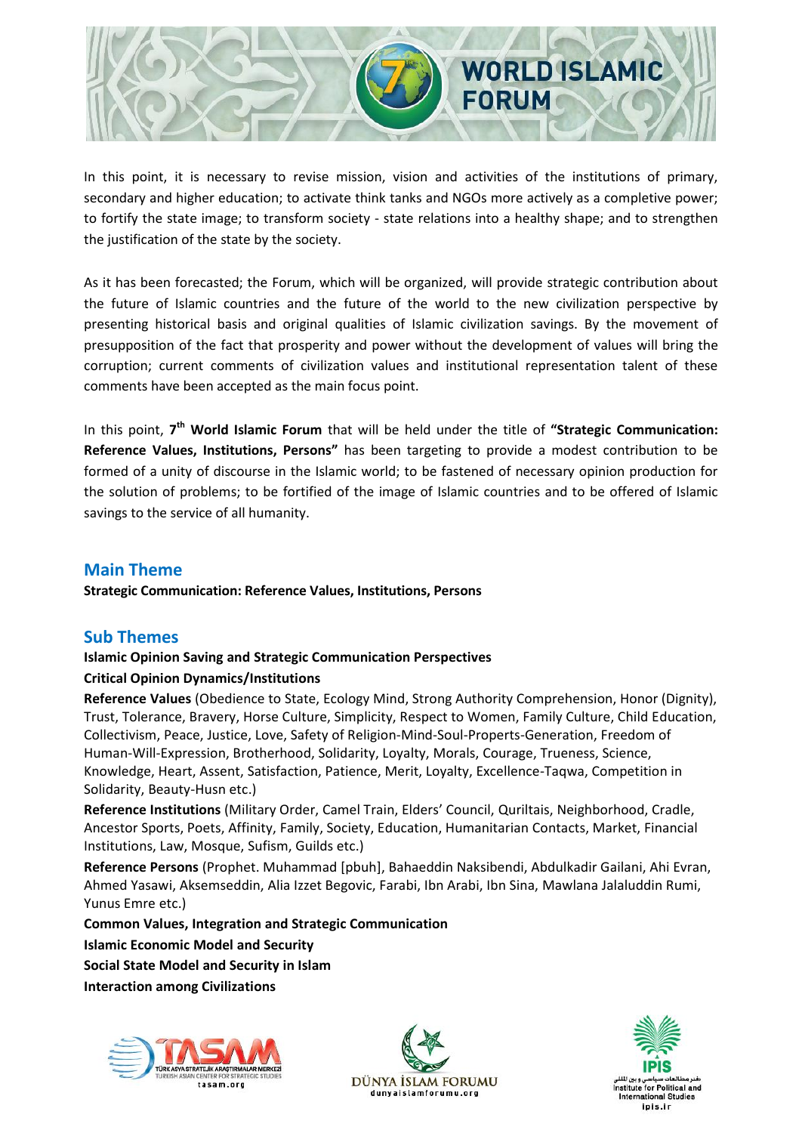

In this point, it is necessary to revise mission, vision and activities of the institutions of primary, secondary and higher education; to activate think tanks and NGOs more actively as a completive power; to fortify the state image; to transform society - state relations into a healthy shape; and to strengthen the justification of the state by the society.

As it has been forecasted; the Forum, which will be organized, will provide strategic contribution about the future of Islamic countries and the future of the world to the new civilization perspective by presenting historical basis and original qualities of Islamic civilization savings. By the movement of presupposition of the fact that prosperity and power without the development of values will bring the corruption; current comments of civilization values and institutional representation talent of these comments have been accepted as the main focus point.

In this point, 7<sup>th</sup> World Islamic Forum that will be held under the title of "Strategic Communication: **Reference Values, Institutions, Persons"** has been targeting to provide a modest contribution to be formed of a unity of discourse in the Islamic world; to be fastened of necessary opinion production for the solution of problems; to be fortified of the image of Islamic countries and to be offered of Islamic savings to the service of all humanity.

### **Main Theme**

**Strategic Communication: Reference Values, Institutions, Persons**

#### **Sub Themes**

#### **Islamic Opinion Saving and Strategic Communication Perspectives Critical Opinion Dynamics/Institutions**

**Reference Values** (Obedience to State, Ecology Mind, Strong Authority Comprehension, Honor (Dignity), Trust, Tolerance, Bravery, Horse Culture, Simplicity, Respect to Women, Family Culture, Child Education, Collectivism, Peace, Justice, Love, Safety of Religion-Mind-Soul-Properts-Generation, Freedom of Human-Will-Expression, Brotherhood, Solidarity, Loyalty, Morals, Courage, Trueness, Science, Knowledge, Heart, Assent, Satisfaction, Patience, Merit, Loyalty, Excellence-Taqwa, Competition in Solidarity, Beauty-Husn etc.)

**Reference Institutions** (Military Order, Camel Train, Elders' Council, Quriltais, Neighborhood, Cradle, Ancestor Sports, Poets, Affinity, Family, Society, Education, Humanitarian Contacts, Market, Financial Institutions, Law, Mosque, Sufism, Guilds etc.)

**Reference Persons** (Prophet. Muhammad [pbuh], Bahaeddin Naksibendi, Abdulkadir Gailani, Ahi Evran, Ahmed Yasawi, Aksemseddin, Alia Izzet Begovic, Farabi, Ibn Arabi, Ibn Sina, Mawlana Jalaluddin Rumi, Yunus Emre etc.)

**Common Values, Integration and Strategic Communication Islamic Economic Model and Security Social State Model and Security in Islam Interaction among Civilizations**